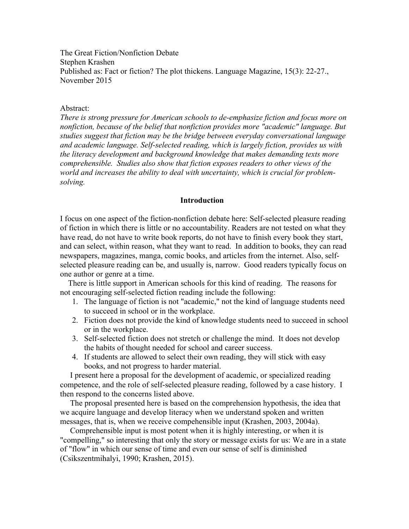The Great Fiction/Nonfiction Debate Stephen Krashen Published as: Fact or fiction? The plot thickens. Language Magazine, 15(3): 22-27., November 2015

## Abstract:

*There is strong pressure for American schools to de-emphasize fiction and focus more on nonfiction, because of the belief that nonfiction provides more "academic" language. But studies suggest that fiction may be the bridge between everyday conversational language and academic language. Self-selected reading, which is largely fiction, provides us with the literacy development and background knowledge that makes demanding texts more comprehensible. Studies also show that fiction exposes readers to other views of the world and increases the ability to deal with uncertainty, which is crucial for problemsolving.* 

#### **Introduction**

I focus on one aspect of the fiction-nonfiction debate here: Self-selected pleasure reading of fiction in which there is little or no accountability. Readers are not tested on what they have read, do not have to write book reports, do not have to finish every book they start, and can select, within reason, what they want to read. In addition to books, they can read newspapers, magazines, manga, comic books, and articles from the internet. Also, selfselected pleasure reading can be, and usually is, narrow. Good readers typically focus on one author or genre at a time.

 There is little support in American schools for this kind of reading. The reasons for not encouraging self-selected fiction reading include the following:

- 1. The language of fiction is not "academic," not the kind of language students need to succeed in school or in the workplace.
- 2. Fiction does not provide the kind of knowledge students need to succeed in school or in the workplace.
- 3. Self-selected fiction does not stretch or challenge the mind. It does not develop the habits of thought needed for school and career success.
- 4. If students are allowed to select their own reading, they will stick with easy books, and not progress to harder material.

 I present here a proposal for the development of academic, or specialized reading competence, and the role of self-selected pleasure reading, followed by a case history. I then respond to the concerns listed above.

 The proposal presented here is based on the comprehension hypothesis, the idea that we acquire language and develop literacy when we understand spoken and written messages, that is, when we receive compehensible input (Krashen, 2003, 2004a).

 Comprehensible input is most potent when it is highly interesting, or when it is "compelling," so interesting that only the story or message exists for us: We are in a state of "flow" in which our sense of time and even our sense of self is diminished (Csikszentmihalyi, 1990; Krashen, 2015).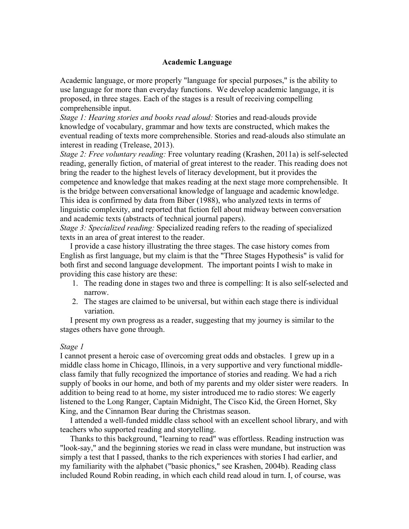# **Academic Language**

Academic language, or more properly "language for special purposes," is the ability to use language for more than everyday functions. We develop academic language, it is proposed, in three stages. Each of the stages is a result of receiving compelling comprehensible input.

*Stage 1: Hearing stories and books read aloud:* Stories and read-alouds provide knowledge of vocabulary, grammar and how texts are constructed, which makes the eventual reading of texts more comprehensible. Stories and read-alouds also stimulate an interest in reading (Trelease, 2013).

*Stage 2: Free voluntary reading:* Free voluntary reading (Krashen, 2011a) is self-selected reading, generally fiction, of material of great interest to the reader. This reading does not bring the reader to the highest levels of literacy development, but it provides the competence and knowledge that makes reading at the next stage more comprehensible. It is the bridge between conversational knowledge of language and academic knowledge. This idea is confirmed by data from Biber (1988), who analyzed texts in terms of linguistic complexity, and reported that fiction fell about midway between conversation and academic texts (abstracts of technical journal papers).

*Stage 3: Specialized reading:* Specialized reading refers to the reading of specialized texts in an area of great interest to the reader.

 I provide a case history illustrating the three stages. The case history comes from English as first language, but my claim is that the "Three Stages Hypothesis" is valid for both first and second language development. The important points I wish to make in providing this case history are these:

- 1. The reading done in stages two and three is compelling: It is also self-selected and narrow.
- 2. The stages are claimed to be universal, but within each stage there is individual variation.

 I present my own progress as a reader, suggesting that my journey is similar to the stages others have gone through.

# *Stage 1*

I cannot present a heroic case of overcoming great odds and obstacles. I grew up in a middle class home in Chicago, Illinois, in a very supportive and very functional middleclass family that fully recognized the importance of stories and reading. We had a rich supply of books in our home, and both of my parents and my older sister were readers. In addition to being read to at home, my sister introduced me to radio stores: We eagerly listened to the Long Ranger, Captain Midnight, The Cisco Kid, the Green Hornet, Sky King, and the Cinnamon Bear during the Christmas season.

 I attended a well-funded middle class school with an excellent school library, and with teachers who supported reading and storytelling.

 Thanks to this background, "learning to read" was effortless. Reading instruction was "look-say," and the beginning stories we read in class were mundane, but instruction was simply a test that I passed, thanks to the rich experiences with stories I had earlier, and my familiarity with the alphabet ("basic phonics," see Krashen, 2004b). Reading class included Round Robin reading, in which each child read aloud in turn. I, of course, was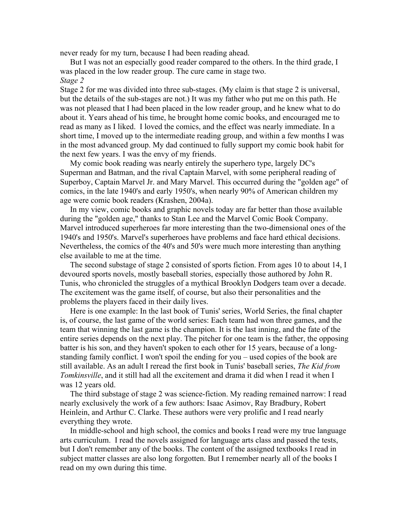never ready for my turn, because I had been reading ahead.

 But I was not an especially good reader compared to the others. In the third grade, I was placed in the low reader group. The cure came in stage two. *Stage 2*

Stage 2 for me was divided into three sub-stages. (My claim is that stage 2 is universal, but the details of the sub-stages are not.) It was my father who put me on this path. He was not pleased that I had been placed in the low reader group, and he knew what to do about it. Years ahead of his time, he brought home comic books, and encouraged me to read as many as I liked. I loved the comics, and the effect was nearly immediate. In a short time, I moved up to the intermediate reading group, and within a few months I was in the most advanced group. My dad continued to fully support my comic book habit for the next few years. I was the envy of my friends.

 My comic book reading was nearly entirely the superhero type, largely DC's Superman and Batman, and the rival Captain Marvel, with some peripheral reading of Superboy, Captain Marvel Jr. and Mary Marvel. This occurred during the "golden age" of comics, in the late 1940's and early 1950's, when nearly 90% of American children my age were comic book readers (Krashen, 2004a).

 In my view, comic books and graphic novels today are far better than those available during the "golden age," thanks to Stan Lee and the Marvel Comic Book Company. Marvel introduced superheroes far more interesting than the two-dimensional ones of the 1940's and 1950's. Marvel's superheroes have problems and face hard ethical decisions. Nevertheless, the comics of the 40's and 50's were much more interesting than anything else available to me at the time.

 The second substage of stage 2 consisted of sports fiction. From ages 10 to about 14, I devoured sports novels, mostly baseball stories, especially those authored by John R. Tunis, who chronicled the struggles of a mythical Brooklyn Dodgers team over a decade. The excitement was the game itself, of course, but also their personalities and the problems the players faced in their daily lives.

 Here is one example: In the last book of Tunis' series, World Series, the final chapter is, of course, the last game of the world series: Each team had won three games, and the team that winning the last game is the champion. It is the last inning, and the fate of the entire series depends on the next play. The pitcher for one team is the father, the opposing batter is his son, and they haven't spoken to each other for 15 years, because of a longstanding family conflict. I won't spoil the ending for you – used copies of the book are still available. As an adult I reread the first book in Tunis' baseball series, *The Kid from Tomkinsville*, and it still had all the excitement and drama it did when I read it when I was 12 years old.

 The third substage of stage 2 was science-fiction. My reading remained narrow: I read nearly exclusively the work of a few authors: Isaac Asimov, Ray Bradbury, Robert Heinlein, and Arthur C. Clarke. These authors were very prolific and I read nearly everything they wrote.

 In middle-school and high school, the comics and books I read were my true language arts curriculum. I read the novels assigned for language arts class and passed the tests, but I don't remember any of the books. The content of the assigned textbooks I read in subject matter classes are also long forgotten. But I remember nearly all of the books I read on my own during this time.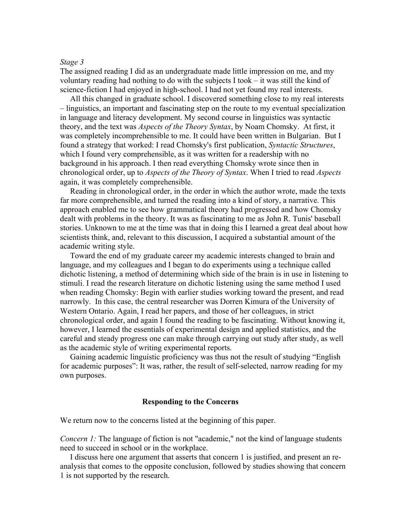### *Stage 3*

The assigned reading I did as an undergraduate made little impression on me, and my voluntary reading had nothing to do with the subjects I took – it was still the kind of science-fiction I had enjoyed in high-school. I had not yet found my real interests.

 All this changed in graduate school. I discovered something close to my real interests – linguistics, an important and fascinating step on the route to my eventual specialization in language and literacy development. My second course in linguistics was syntactic theory, and the text was *Aspects of the Theory Syntax*, by Noam Chomsky. At first, it was completely incomprehensible to me. It could have been written in Bulgarian. But I found a strategy that worked: I read Chomsky's first publication, *Syntactic Structures*, which I found very comprehensible, as it was written for a readership with no background in his approach. I then read everything Chomsky wrote since then in chronological order, up to *Aspects of the Theory of Syntax*. When I tried to read *Aspects* again, it was completely comprehensible.

 Reading in chronological order, in the order in which the author wrote, made the texts far more comprehensible, and turned the reading into a kind of story, a narrative. This approach enabled me to see how grammatical theory had progressed and how Chomsky dealt with problems in the theory. It was as fascinating to me as John R. Tunis' baseball stories. Unknown to me at the time was that in doing this I learned a great deal about how scientists think, and, relevant to this discussion, I acquired a substantial amount of the academic writing style.

 Toward the end of my graduate career my academic interests changed to brain and language, and my colleagues and I began to do experiments using a technique called dichotic listening, a method of determining which side of the brain is in use in listening to stimuli. I read the research literature on dichotic listening using the same method I used when reading Chomsky: Begin with earlier studies working toward the present, and read narrowly. In this case, the central researcher was Dorren Kimura of the University of Western Ontario. Again, I read her papers, and those of her colleagues, in strict chronological order, and again I found the reading to be fascinating. Without knowing it, however, I learned the essentials of experimental design and applied statistics, and the careful and steady progress one can make through carrying out study after study, as well as the academic style of writing experimental reports.

 Gaining academic linguistic proficiency was thus not the result of studying "English for academic purposes": It was, rather, the result of self-selected, narrow reading for my own purposes.

#### **Responding to the Concerns**

We return now to the concerns listed at the beginning of this paper.

*Concern 1:* The language of fiction is not "academic," not the kind of language students need to succeed in school or in the workplace.

 I discuss here one argument that asserts that concern 1 is justified, and present an reanalysis that comes to the opposite conclusion, followed by studies showing that concern 1 is not supported by the research.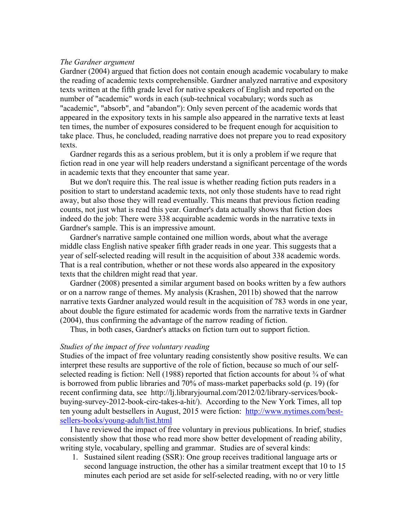## *The Gardner argument*

Gardner (2004) argued that fiction does not contain enough academic vocabulary to make the reading of academic texts comprehensible. Gardner analyzed narrative and expository texts written at the fifth grade level for native speakers of English and reported on the number of "academic" words in each (sub-technical vocabulary; words such as "academic", "absorb", and "abandon"): Only seven percent of the academic words that appeared in the expository texts in his sample also appeared in the narrative texts at least ten times, the number of exposures considered to be frequent enough for acquisition to take place. Thus, he concluded, reading narrative does not prepare you to read expository texts.

 Gardner regards this as a serious problem, but it is only a problem if we requre that fiction read in one year will help readers understand a significant percentage of the words in academic texts that they encounter that same year.

 But we don't require this. The real issue is whether reading fiction puts readers in a position to start to understand academic texts, not only those students have to read right away, but also those they will read eventually. This means that previous fiction reading counts, not just what is read this year. Gardner's data actually shows that fiction does indeed do the job: There were 338 acquirable academic words in the narrative texts in Gardner's sample. This is an impressive amount.

 Gardner's narrative sample contained one million words, about what the average middle class English native speaker fifth grader reads in one year. This suggests that a year of self-selected reading will result in the acquisition of about 338 academic words. That is a real contribution, whether or not these words also appeared in the expository texts that the children might read that year.

 Gardner (2008) presented a similar argument based on books written by a few authors or on a narrow range of themes. My analysis (Krashen, 2011b) showed that the narrow narrative texts Gardner analyzed would result in the acquisition of 783 words in one year, about double the figure estimated for academic words from the narrative texts in Gardner (2004), thus confirming the advantage of the narrow reading of fiction.

Thus, in both cases, Gardner's attacks on fiction turn out to support fiction.

## *Studies of the impact of free voluntary reading*

Studies of the impact of free voluntary reading consistently show positive results. We can interpret these results are supportive of the role of fiction, because so much of our selfselected reading is fiction: Nell (1988) reported that fiction accounts for about  $\frac{3}{4}$  of what is borrowed from public libraries and 70% of mass-market paperbacks sold (p. 19) (for recent confirming data, see http://lj.libraryjournal.com/2012/02/library-services/bookbuying-survey-2012-book-circ-takes-a-hit/). According to the New York Times, all top ten young adult bestsellers in August, 2015 were fiction: http://www.nytimes.com/bestsellers-books/young-adult/list.html

 I have reviewed the impact of free voluntary in previous publications. In brief, studies consistently show that those who read more show better development of reading ability, writing style, vocabulary, spelling and grammar. Studies are of several kinds:

1. Sustained silent reading (SSR): One group receives traditional language arts or second language instruction, the other has a similar treatment except that 10 to 15 minutes each period are set aside for self-selected reading, with no or very little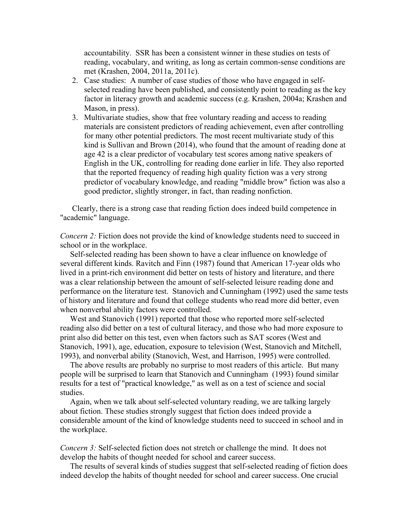accountability. SSR has been a consistent winner in these studies on tests of reading, vocabulary, and writing, as long as certain common-sense conditions are met (Krashen, 2004, 2011a, 2011c).

- 2. Case studies: A number of case studies of those who have engaged in selfselected reading have been published, and consistently point to reading as the key factor in literacy growth and academic success (e.g. Krashen, 2004a; Krashen and Mason, in press).
- 3. Multivariate studies, show that free voluntary reading and access to reading materials are consistent predictors of reading achievement, even after controlling for many other potential predictors. The most recent multivariate study of this kind is Sullivan and Brown (2014), who found that the amount of reading done at age 42 is a clear predictor of vocabulary test scores among native speakers of English in the UK, controlling for reading done earlier in life. They also reported that the reported frequency of reading high quality fiction was a very strong predictor of vocabulary knowledge, and reading "middle brow" fiction was also a good predictor, slightly stronger, in fact, than reading nonfiction.

 Clearly, there is a strong case that reading fiction does indeed build competence in "academic" language.

*Concern 2:* Fiction does not provide the kind of knowledge students need to succeed in school or in the workplace.

 Self-selected reading has been shown to have a clear influence on knowledge of several different kinds. Ravitch and Finn (1987) found that American 17-year olds who lived in a print-rich environment did better on tests of history and literature, and there was a clear relationship between the amount of self-selected leisure reading done and performance on the literature test. Stanovich and Cunningham (1992) used the same tests of history and literature and found that college students who read more did better, even when nonverbal ability factors were controlled.

 West and Stanovich (1991) reported that those who reported more self-selected reading also did better on a test of cultural literacy, and those who had more exposure to print also did better on this test, even when factors such as SAT scores (West and Stanovich, 1991), age, education, exposure to television (West, Stanovich and Mitchell, 1993), and nonverbal ability (Stanovich, West, and Harrison, 1995) were controlled.

 The above results are probably no surprise to most readers of this article. But many people will be surprised to learn that Stanovich and Cunningham (1993) found similar results for a test of "practical knowledge," as well as on a test of science and social studies.

 Again, when we talk about self-selected voluntary reading, we are talking largely about fiction. These studies strongly suggest that fiction does indeed provide a considerable amount of the kind of knowledge students need to succeed in school and in the workplace.

*Concern 3:* Self-selected fiction does not stretch or challenge the mind. It does not develop the habits of thought needed for school and career success.

 The results of several kinds of studies suggest that self-selected reading of fiction does indeed develop the habits of thought needed for school and career success. One crucial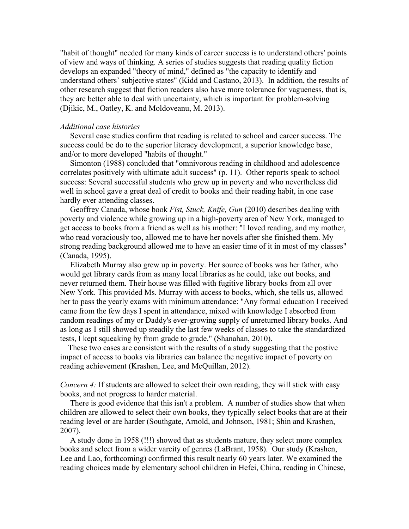"habit of thought" needed for many kinds of career success is to understand others' points of view and ways of thinking. A series of studies suggests that reading quality fiction develops an expanded "theory of mind," defined as "the capacity to identify and understand others' subjective states" (Kidd and Castano, 2013). In addition, the results of other research suggest that fiction readers also have more tolerance for vagueness, that is, they are better able to deal with uncertainty, which is important for problem-solving (Djikic, M., Oatley, K. and Moldoveanu, M. 2013).

#### *Additional case histories*

 Several case studies confirm that reading is related to school and career success. The success could be do to the superior literacy development, a superior knowledge base, and/or to more developed "habits of thought."

 Simonton (1988) concluded that "omnivorous reading in childhood and adolescence correlates positively with ultimate adult success" (p. 11). Other reports speak to school success: Several successful students who grew up in poverty and who nevertheless did well in school gave a great deal of credit to books and their reading habit, in one case hardly ever attending classes.

 Geoffrey Canada, whose book *Fist, Stuck, Knife, Gun* (2010) describes dealing with poverty and violence while growing up in a high-poverty area of New York, managed to get access to books from a friend as well as his mother: "I loved reading, and my mother, who read voraciously too, allowed me to have her novels after she finished them. My strong reading background allowed me to have an easier time of it in most of my classes" (Canada, 1995).

 Elizabeth Murray also grew up in poverty. Her source of books was her father, who would get library cards from as many local libraries as he could, take out books, and never returned them. Their house was filled with fugitive library books from all over New York. This provided Ms. Murray with access to books, which, she tells us, allowed her to pass the yearly exams with minimum attendance: "Any formal education I received came from the few days I spent in attendance, mixed with knowledge I absorbed from random readings of my or Daddy's ever-growing supply of unreturned library books. And as long as I still showed up steadily the last few weeks of classes to take the standardized tests, I kept squeaking by from grade to grade." (Shanahan, 2010).

 These two cases are consistent with the results of a study suggesting that the postive impact of access to books via libraries can balance the negative impact of poverty on reading achievement (Krashen, Lee, and McQuillan, 2012).

*Concern 4:* If students are allowed to select their own reading, they will stick with easy books, and not progress to harder material.

 There is good evidence that this isn't a problem. A number of studies show that when children are allowed to select their own books, they typically select books that are at their reading level or are harder (Southgate, Arnold, and Johnson, 1981; Shin and Krashen, 2007).

 A study done in 1958 (!!!) showed that as students mature, they select more complex books and select from a wider vareity of genres (LaBrant, 1958). Our study (Krashen, Lee and Lao, forthcoming) confirmed this result nearly 60 years later. We examined the reading choices made by elementary school children in Hefei, China, reading in Chinese,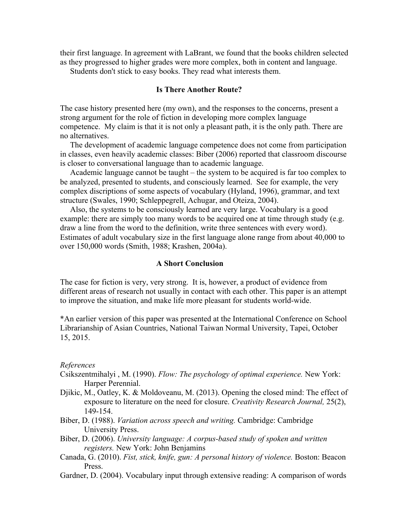their first language. In agreement with LaBrant, we found that the books children selected as they progressed to higher grades were more complex, both in content and language.

Students don't stick to easy books. They read what interests them.

# **Is There Another Route?**

The case history presented here (my own), and the responses to the concerns, present a strong argument for the role of fiction in developing more complex language competence. My claim is that it is not only a pleasant path, it is the only path. There are no alternatives.

 The development of academic language competence does not come from participation in classes, even heavily academic classes: Biber (2006) reported that classroom discourse is closer to conversational language than to academic language.

 Academic language cannot be taught – the system to be acquired is far too complex to be analyzed, presented to students, and consciously learned. See for example, the very complex discriptions of some aspects of vocabulary (Hyland, 1996), grammar, and text structure (Swales, 1990; Schleppegrell, Achugar, and Oteiza, 2004).

 Also, the systems to be consciously learned are very large. Vocabulary is a good example: there are simply too many words to be acquired one at time through study (e.g. draw a line from the word to the definition, write three sentences with every word). Estimates of adult vocabulary size in the first language alone range from about 40,000 to over 150,000 words (Smith, 1988; Krashen, 2004a).

## **A Short Conclusion**

The case for fiction is very, very strong. It is, however, a product of evidence from different areas of research not usually in contact with each other. This paper is an attempt to improve the situation, and make life more pleasant for students world-wide.

\*An earlier version of this paper was presented at the International Conference on School Librarianship of Asian Countries, National Taiwan Normal University, Tapei, October 15, 2015.

#### *References*

- Csikszentmihalyi , M. (1990). *Flow: The psychology of optimal experience.* New York: Harper Perennial.
- Djikic, M., Oatley, K. & Moldoveanu, M. (2013). Opening the closed mind: The effect of exposure to literature on the need for closure. *Creativity Research Journal,* 25(2), 149-154.
- Biber, D. (1988). *Variation across speech and writing.* Cambridge: Cambridge University Press.
- Biber, D. (2006). *University language: A corpus-based study of spoken and written registers.* New York: John Benjamins
- Canada, G. (2010). *Fist, stick, knife, gun: A personal history of violence.* Boston: Beacon Press.
- Gardner, D. (2004). Vocabulary input through extensive reading: A comparison of words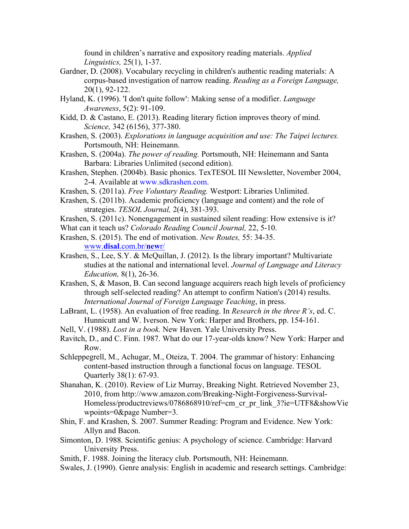found in children's narrative and expository reading materials. *Applied Linguistics,* 25(1), 1-37.

- Gardner, D. (2008). Vocabulary recycling in children's authentic reading materials: A corpus-based investigation of narrow reading. *Reading as a Foreign Language,*  20(1), 92-122.
- Hyland, K. (1996). 'I don't quite follow': Making sense of a modifier. *Language Awareness*, 5(2): 91-109.
- Kidd, D. & Castano, E. (2013). Reading literary fiction improves theory of mind. *Science,* 342 (6156), 377-380.
- Krashen, S. (2003). *Explorations in language acquisition and use: The Taipei lectures.* Portsmouth, NH: Heinemann.
- Krashen, S. (2004a). *The power of reading.* Portsmouth, NH: Heinemann and Santa Barbara: Libraries Unlimited (second edition).
- Krashen, Stephen. (2004b). Basic phonics. TexTESOL III Newsletter, November 2004, 2-4. Available at www.sdkrashen.com.
- Krashen, S. (2011a). *Free Voluntary Reading.* Westport: Libraries Unlimited.
- Krashen, S. (2011b). Academic proficiency (language and content) and the role of strategies. *TESOL Journal,* 2(4), 381-393.
- Krashen, S. (2011c). Nonengagement in sustained silent reading: How extensive is it?
- What can it teach us? *Colorado Reading Council Journal,* 22, 5-10.
- Krashen, S. (2015). The end of motivation. *New Routes,* 55: 34-35. www.**disal**.com.br/**new**r/
- Krashen, S., Lee, S.Y. & McQuillan, J. (2012). Is the library important? Multivariate studies at the national and international level. *Journal of Language and Literacy Education,* 8(1), 26-36.
- Krashen, S, & Mason, B. Can second language acquirers reach high levels of proficiency through self-selected reading? An attempt to confirm Nation's (2014) results. *International Journal of Foreign Language Teaching*, in press.
- LaBrant, L. (1958). An evaluation of free reading. In *Research in the three R's*, ed. C. Hunnicutt and W. Iverson. New York: Harper and Brothers, pp. 154-161.
- Nell, V. (1988). *Lost in a book.* New Haven. Yale University Press.
- Ravitch, D., and C. Finn. 1987. What do our 17-year-olds know? New York: Harper and Row.
- Schleppegrell, M., Achugar, M., Oteiza, T. 2004. The grammar of history: Enhancing content-based instruction through a functional focus on language. TESOL Quarterly 38(1): 67-93.
- Shanahan, K. (2010). Review of Liz Murray, Breaking Night. Retrieved November 23, 2010, from http://www.amazon.com/Breaking-Night-Forgiveness-Survival-Homeless/productreviews/0786868910/ref=cm\_cr\_pr\_link\_3?ie=UTF8&showVie wpoints=0&page Number=3.
- Shin, F. and Krashen, S. 2007. Summer Reading: Program and Evidence. New York: Allyn and Bacon.
- Simonton, D. 1988. Scientific genius: A psychology of science. Cambridge: Harvard University Press.
- Smith, F. 1988. Joining the literacy club. Portsmouth, NH: Heinemann.
- Swales, J. (1990). Genre analysis: English in academic and research settings. Cambridge: